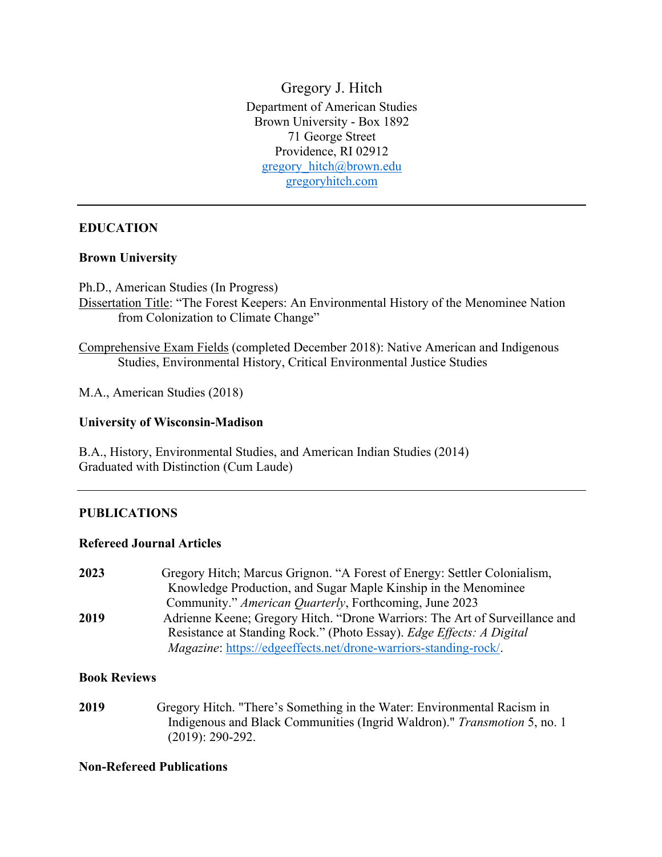Gregory J. Hitch Department of American Studies Brown University - Box 1892 71 George Street Providence, RI 02912 gregory\_hitch@brown.edu gregoryhitch.com

### **EDUCATION**

### **Brown University**

Ph.D., American Studies (In Progress)

Dissertation Title: "The Forest Keepers: An Environmental History of the Menominee Nation from Colonization to Climate Change"

Comprehensive Exam Fields (completed December 2018): Native American and Indigenous Studies, Environmental History, Critical Environmental Justice Studies

M.A., American Studies (2018)

### **University of Wisconsin-Madison**

B.A., History, Environmental Studies, and American Indian Studies (2014) Graduated with Distinction (Cum Laude)

### **PUBLICATIONS**

### **Refereed Journal Articles**

**2023** Gregory Hitch; Marcus Grignon. "A Forest of Energy: Settler Colonialism, Knowledge Production, and Sugar Maple Kinship in the Menominee Community." *American Quarterly*, Forthcoming, June 2023 **2019** Adrienne Keene; Gregory Hitch. "Drone Warriors: The Art of Surveillance and Resistance at Standing Rock." (Photo Essay). *Edge Effects: A Digital Magazine*: https://edgeeffects.net/drone-warriors-standing-rock/.

### **Book Reviews**

**2019** Gregory Hitch. "There's Something in the Water: Environmental Racism in Indigenous and Black Communities (Ingrid Waldron)." *Transmotion* 5, no. 1 (2019): 290-292.

### **Non-Refereed Publications**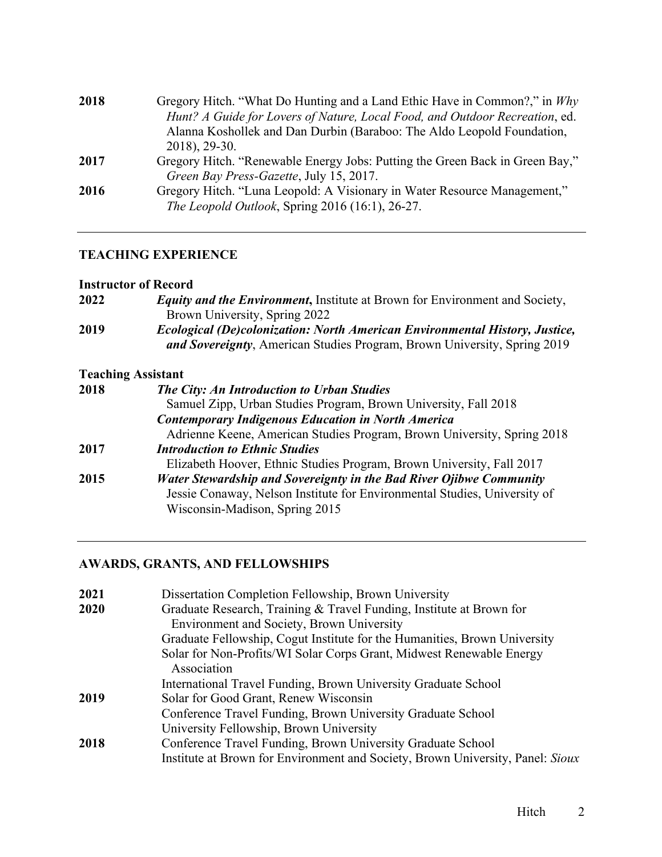| 2018 | Gregory Hitch. "What Do Hunting and a Land Ethic Have in Common?," in Why    |
|------|------------------------------------------------------------------------------|
|      | Hunt? A Guide for Lovers of Nature, Local Food, and Outdoor Recreation, ed.  |
|      | Alanna Koshollek and Dan Durbin (Baraboo: The Aldo Leopold Foundation,       |
|      | 2018), 29-30.                                                                |
| 2017 | Gregory Hitch. "Renewable Energy Jobs: Putting the Green Back in Green Bay," |
|      | Green Bay Press-Gazette, July 15, 2017.                                      |
| 2016 | Gregory Hitch. "Luna Leopold: A Visionary in Water Resource Management,"     |
|      | The Leopold Outlook, Spring 2016 (16:1), 26-27.                              |
|      |                                                                              |

# **TEACHING EXPERIENCE**

### **Instructor of Record**

| 2022 | <b>Equity and the Environment, Institute at Brown for Environment and Society,</b>                                                                                                 |
|------|------------------------------------------------------------------------------------------------------------------------------------------------------------------------------------|
|      | Brown University, Spring 2022                                                                                                                                                      |
| 2019 | <b>Ecological (De)colonization: North American Environmental History, Justice,</b><br>and Sovereignty, American Studies Program, Brown University, Spring 2019                     |
|      | <b>Teaching Assistant</b>                                                                                                                                                          |
| 2018 | <b>The City: An Introduction to Urban Studies</b>                                                                                                                                  |
|      | Samuel Zipp, Urban Studies Program, Brown University, Fall 2018                                                                                                                    |
|      | <b>Contemporary Indigenous Education in North America</b>                                                                                                                          |
|      | Adrienne Keene, American Studies Program, Brown University, Spring 2018                                                                                                            |
| 2017 | <b>Introduction to Ethnic Studies</b>                                                                                                                                              |
|      | Elizabeth Hoover, Ethnic Studies Program, Brown University, Fall 2017                                                                                                              |
| 2015 | Water Stewardship and Sovereignty in the Bad River Ojibwe Community<br>Jessie Conaway, Nelson Institute for Environmental Studies, University of<br>Wisconsin-Madison, Spring 2015 |

# **AWARDS, GRANTS, AND FELLOWSHIPS**

| 2021 | Dissertation Completion Fellowship, Brown University                                |
|------|-------------------------------------------------------------------------------------|
| 2020 | Graduate Research, Training & Travel Funding, Institute at Brown for                |
|      | Environment and Society, Brown University                                           |
|      | Graduate Fellowship, Cogut Institute for the Humanities, Brown University           |
|      | Solar for Non-Profits/WI Solar Corps Grant, Midwest Renewable Energy<br>Association |
|      | International Travel Funding, Brown University Graduate School                      |
| 2019 | Solar for Good Grant, Renew Wisconsin                                               |
|      | Conference Travel Funding, Brown University Graduate School                         |
|      | University Fellowship, Brown University                                             |
| 2018 | Conference Travel Funding, Brown University Graduate School                         |
|      | Institute at Brown for Environment and Society, Brown University, Panel: Sioux      |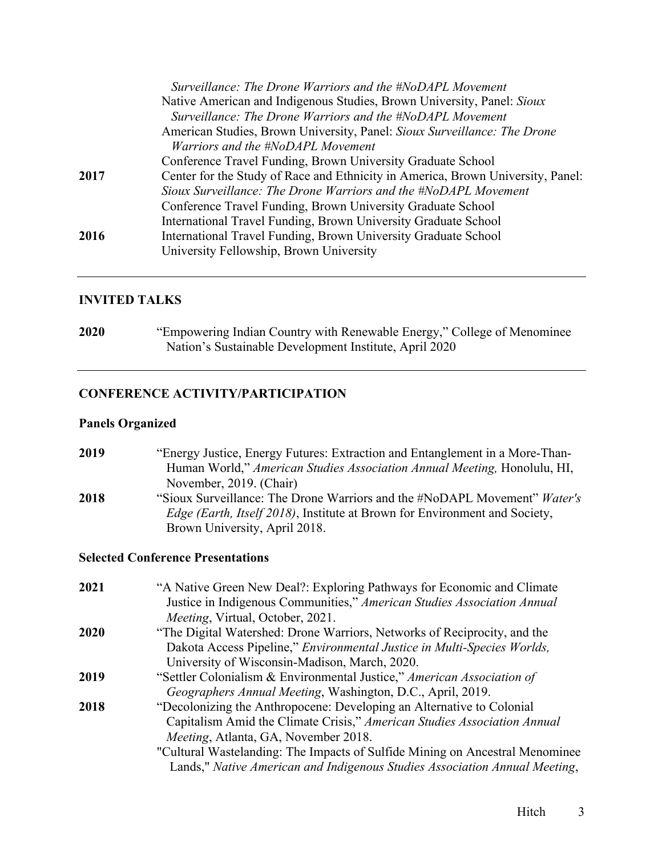|      | Surveillance: The Drone Warriors and the #NoDAPL Movement                       |
|------|---------------------------------------------------------------------------------|
|      | Native American and Indigenous Studies, Brown University, Panel: Sioux          |
|      | Surveillance: The Drone Warriors and the #NoDAPL Movement                       |
|      | American Studies, Brown University, Panel: Sioux Surveillance: The Drone        |
|      | Warriors and the #NoDAPL Movement                                               |
|      | Conference Travel Funding, Brown University Graduate School                     |
| 2017 | Center for the Study of Race and Ethnicity in America, Brown University, Panel: |
|      | Sioux Surveillance: The Drone Warriors and the #NoDAPL Movement                 |
|      | Conference Travel Funding, Brown University Graduate School                     |
|      | International Travel Funding, Brown University Graduate School                  |
| 2016 | International Travel Funding, Brown University Graduate School                  |
|      | University Fellowship, Brown University                                         |
|      |                                                                                 |

## **INVITED TALKS**

**2020** "Empowering Indian Country with Renewable Energy," College of Menominee Nation's Sustainable Development Institute, April 2020

## **CONFERENCE ACTIVITY/PARTICIPATION**

Brown University, April 2018.

### **Panels Organized**

**2019** "Energy Justice, Energy Futures: Extraction and Entanglement in a More-Than- Human World," *American Studies Association Annual Meeting,* Honolulu, HI, November, 2019. (Chair) **2018** "Sioux Surveillance: The Drone Warriors and the #NoDAPL Movement" *Water's*  *Edge (Earth, Itself 2018)*, Institute at Brown for Environment and Society,

# **Selected Conference Presentations**

| 2021        | "A Native Green New Deal?: Exploring Pathways for Economic and Climate<br>Justice in Indigenous Communities," American Studies Association Annual |
|-------------|---------------------------------------------------------------------------------------------------------------------------------------------------|
|             | Meeting, Virtual, October, 2021.                                                                                                                  |
| <b>2020</b> | "The Digital Watershed: Drone Warriors, Networks of Reciprocity, and the                                                                          |
|             | Dakota Access Pipeline," Environmental Justice in Multi-Species Worlds,                                                                           |
|             | University of Wisconsin-Madison, March, 2020.                                                                                                     |
| 2019        | "Settler Colonialism & Environmental Justice," American Association of                                                                            |
|             | Geographers Annual Meeting, Washington, D.C., April, 2019.                                                                                        |
| 2018        | "Decolonizing the Anthropocene: Developing an Alternative to Colonial                                                                             |
|             | Capitalism Amid the Climate Crisis," American Studies Association Annual                                                                          |
|             | Meeting, Atlanta, GA, November 2018.                                                                                                              |
|             | "Cultural Wastelanding: The Impacts of Sulfide Mining on Ancestral Menominee                                                                      |
|             | Lands," Native American and Indigenous Studies Association Annual Meeting,                                                                        |
|             |                                                                                                                                                   |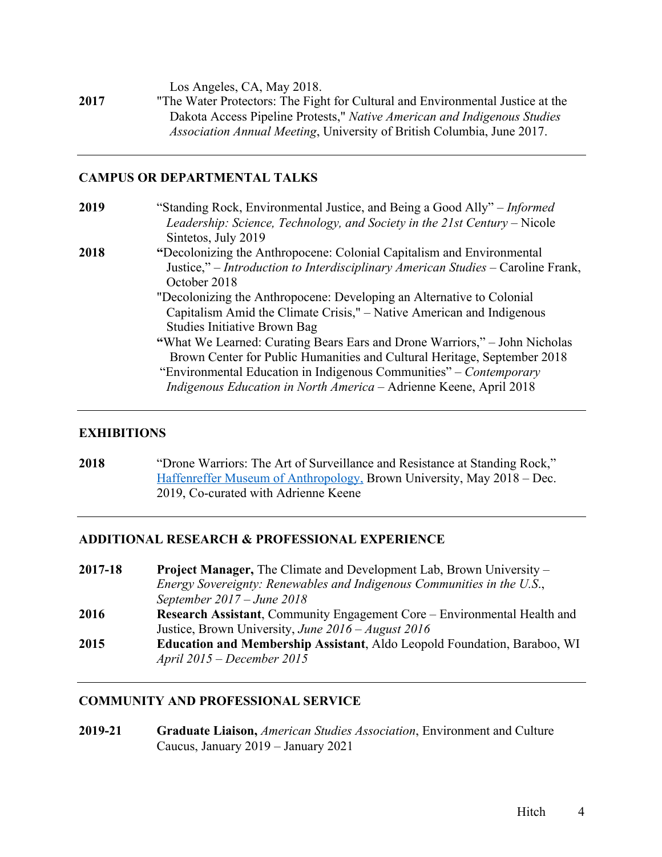Los Angeles, CA, May 2018.

**2017** "The Water Protectors: The Fight for Cultural and Environmental Justice at the Dakota Access Pipeline Protests," *Native American and Indigenous Studies Association Annual Meeting*, University of British Columbia, June 2017.

### **CAMPUS OR DEPARTMENTAL TALKS**

| 2019 | "Standing Rock, Environmental Justice, and Being a Good Ally" – <i>Informed</i>  |
|------|----------------------------------------------------------------------------------|
|      | Leadership: Science, Technology, and Society in the 21st Century – Nicole        |
|      | Sintetos, July 2019                                                              |
| 2018 | "Decolonizing the Anthropocene: Colonial Capitalism and Environmental            |
|      | Justice," – Introduction to Interdisciplinary American Studies – Caroline Frank, |
|      | October 2018                                                                     |
|      | "Decolonizing the Anthropocene: Developing an Alternative to Colonial            |
|      | Capitalism Amid the Climate Crisis," – Native American and Indigenous            |
|      | Studies Initiative Brown Bag                                                     |
|      | "What We Learned: Curating Bears Ears and Drone Warriors," – John Nicholas       |
|      | Brown Center for Public Humanities and Cultural Heritage, September 2018         |
|      | "Environmental Education in Indigenous Communities" – Contemporary               |
|      | Indigenous Education in North America – Adrienne Keene, April 2018               |
|      |                                                                                  |

### **EXHIBITIONS**

**2018** "Drone Warriors: The Art of Surveillance and Resistance at Standing Rock," Haffenreffer Museum of Anthropology, Brown University, May 2018 – Dec. 2019, Co-curated with Adrienne Keene

### **ADDITIONAL RESEARCH & PROFESSIONAL EXPERIENCE**

| 2017-18 | <b>Project Manager, The Climate and Development Lab, Brown University –</b>     |
|---------|---------------------------------------------------------------------------------|
|         | Energy Sovereignty: Renewables and Indigenous Communities in the U.S.,          |
|         | September $2017 - June 2018$                                                    |
| 2016    | Research Assistant, Community Engagement Core – Environmental Health and        |
|         | Justice, Brown University, June $2016 - August 2016$                            |
| 2015    | <b>Education and Membership Assistant, Aldo Leopold Foundation, Baraboo, WI</b> |
|         | April $2015$ – December 2015                                                    |

### **COMMUNITY AND PROFESSIONAL SERVICE**

**2019-21 Graduate Liaison,** *American Studies Association*, Environment and Culture Caucus, January 2019 – January 2021